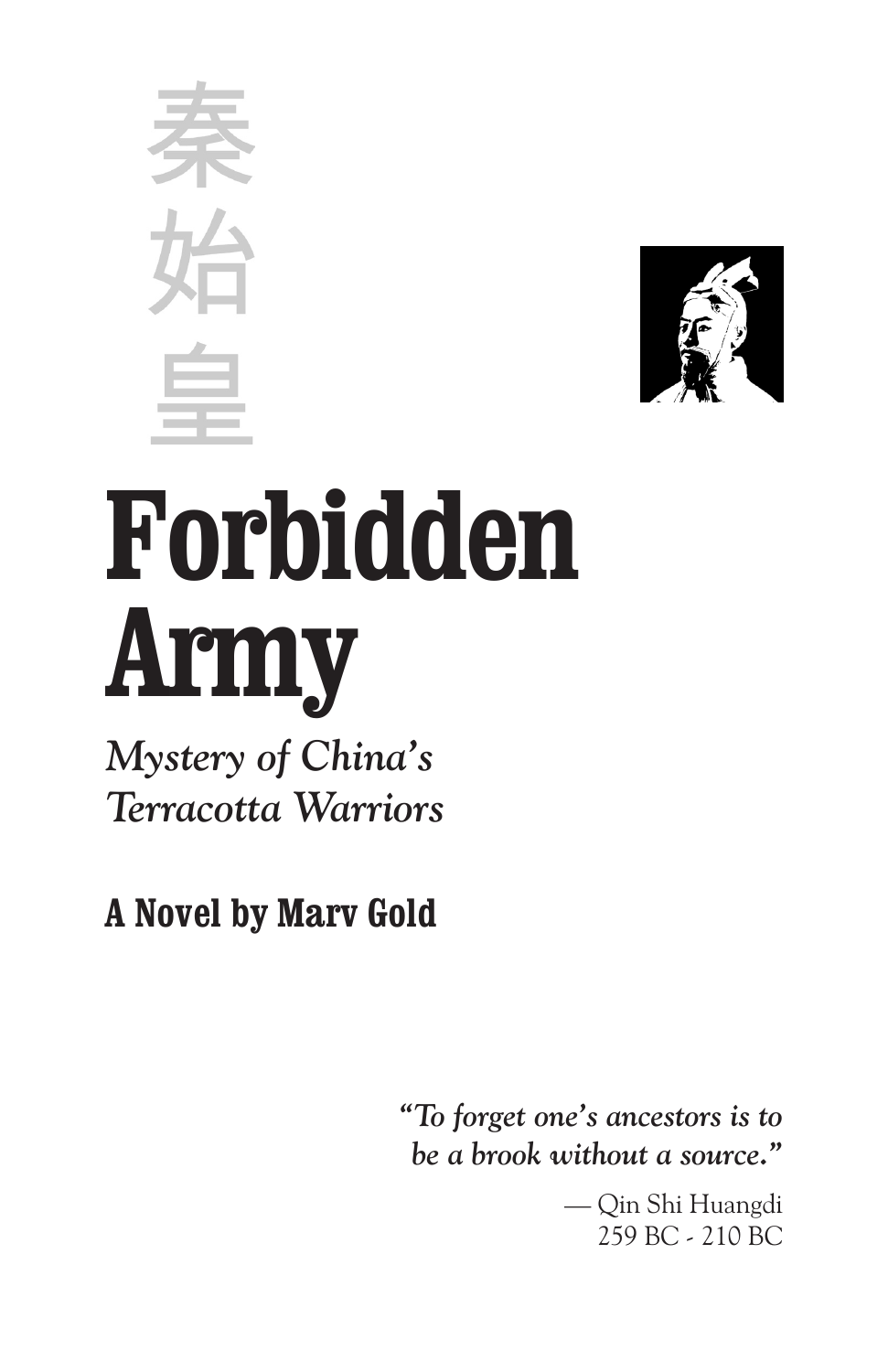



## **Forbidden Army**

*Mystery of China's Terracotta Warriors*

**A Novel by Marv Gold**

*"To forget one's ancestors is to be a brook without a source."*

> — Qin Shi Huangdi 259 BC - 210 BC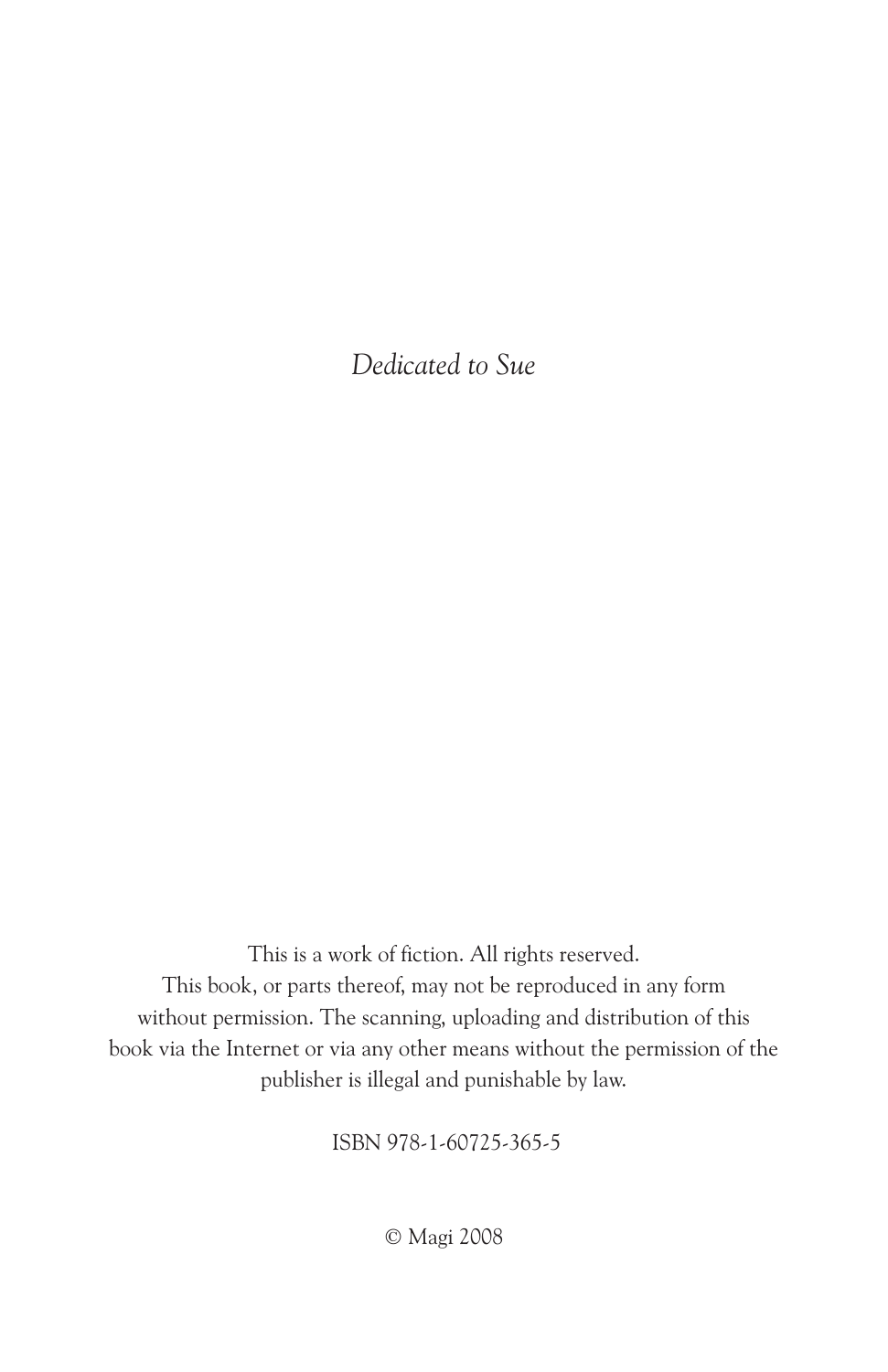*Dedicated to Sue*

This is a work of fiction. All rights reserved. This book, or parts thereof, may not be reproduced in any form without permission. The scanning, uploading and distribution of this book via the Internet or via any other means without the permission of the publisher is illegal and punishable by law.

ISBN 978-1-60725-365-5

© Magi 2008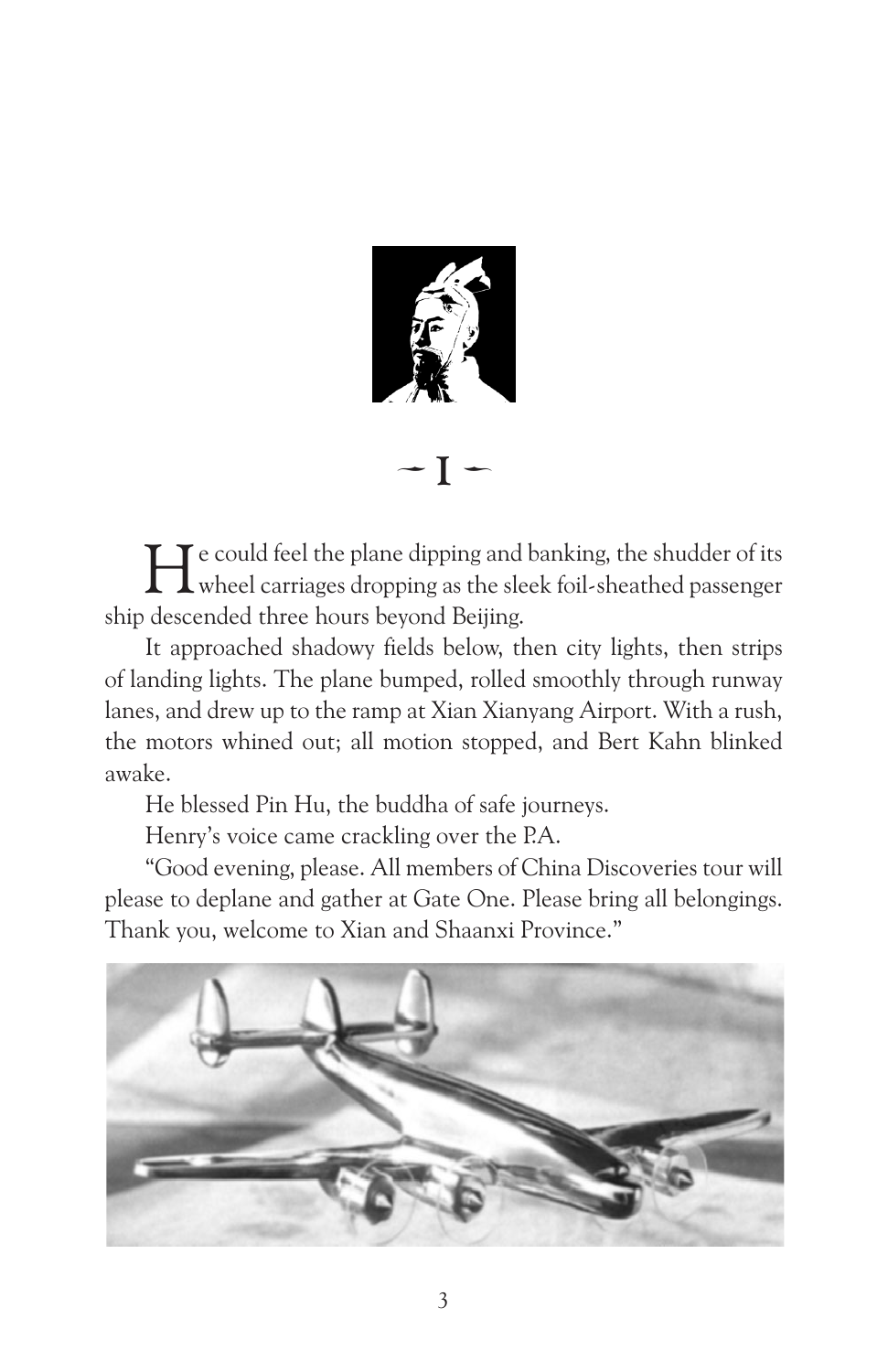

 $-I -$ 

He could feel the plane dipping and banking, the shudder of its wheel carriages dropping as the sleek foil-sheathed passenger ship descended three hours beyond Beijing.

It approached shadowy fields below, then city lights, then strips of landing lights. The plane bumped, rolled smoothly through runway lanes, and drew up to the ramp at Xian Xianyang Airport. With a rush, the motors whined out; all motion stopped, and Bert Kahn blinked awake.

He blessed Pin Hu, the buddha of safe journeys.

Henry's voice came crackling over the P.A.

"Good evening, please. All members of China Discoveries tour will please to deplane and gather at Gate One. Please bring all belongings. Thank you, welcome to Xian and Shaanxi Province."

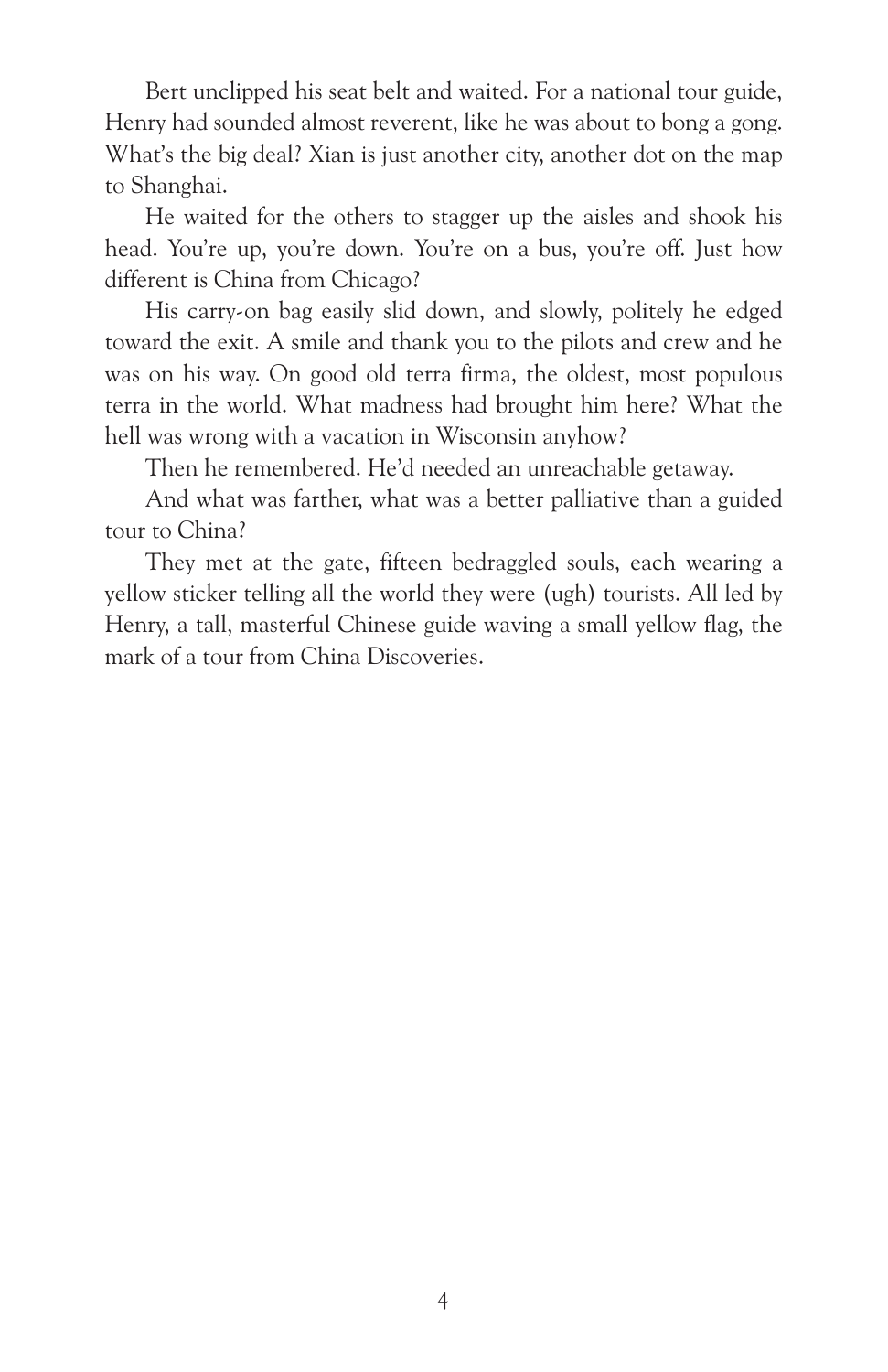Bert unclipped his seat belt and waited. For a national tour guide, Henry had sounded almost reverent, like he was about to bong a gong. What's the big deal? Xian is just another city, another dot on the map to Shanghai.

He waited for the others to stagger up the aisles and shook his head. You're up, you're down. You're on a bus, you're off. Just how different is China from Chicago?

His carry-on bag easily slid down, and slowly, politely he edged toward the exit. A smile and thank you to the pilots and crew and he was on his way. On good old terra firma, the oldest, most populous terra in the world. What madness had brought him here? What the hell was wrong with a vacation in Wisconsin anyhow?

Then he remembered. He'd needed an unreachable getaway.

And what was farther, what was a better palliative than a guided tour to China?

They met at the gate, fifteen bedraggled souls, each wearing a yellow sticker telling all the world they were (ugh) tourists. All led by Henry, a tall, masterful Chinese guide waving a small yellow flag, the mark of a tour from China Discoveries.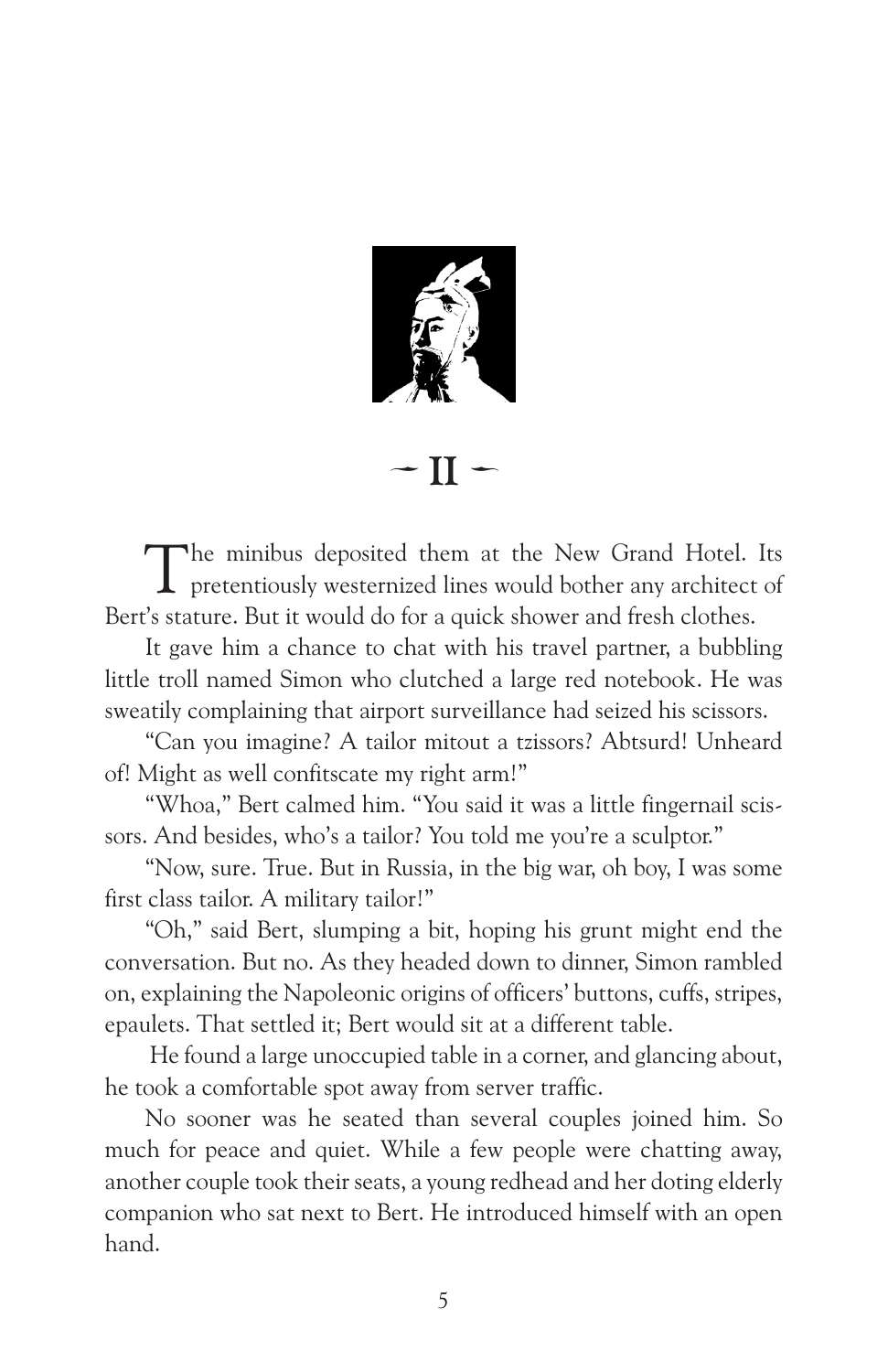

 $\cdot$  II  $\sim$ 

The minibus deposited them at the New Grand Hotel. Its pretentiously westernized lines would bother any architect of Bert's stature. But it would do for a quick shower and fresh clothes.

It gave him a chance to chat with his travel partner, a bubbling little troll named Simon who clutched a large red notebook. He was sweatily complaining that airport surveillance had seized his scissors.

"Can you imagine? A tailor mitout a tzissors? Abtsurd! Unheard of! Might as well confitscate my right arm!"

"Whoa," Bert calmed him. "You said it was a little fingernail scissors. And besides, who's a tailor? You told me you're a sculptor."

"Now, sure. True. But in Russia, in the big war, oh boy, I was some first class tailor. A military tailor!"

"Oh," said Bert, slumping a bit, hoping his grunt might end the conversation. But no. As they headed down to dinner, Simon rambled on, explaining the Napoleonic origins of officers' buttons, cuffs, stripes, epaulets. That settled it; Bert would sit at a different table.

 He found a large unoccupied table in a corner, and glancing about, he took a comfortable spot away from server traffic.

No sooner was he seated than several couples joined him. So much for peace and quiet. While a few people were chatting away, another couple took their seats, a young redhead and her doting elderly companion who sat next to Bert. He introduced himself with an open hand.